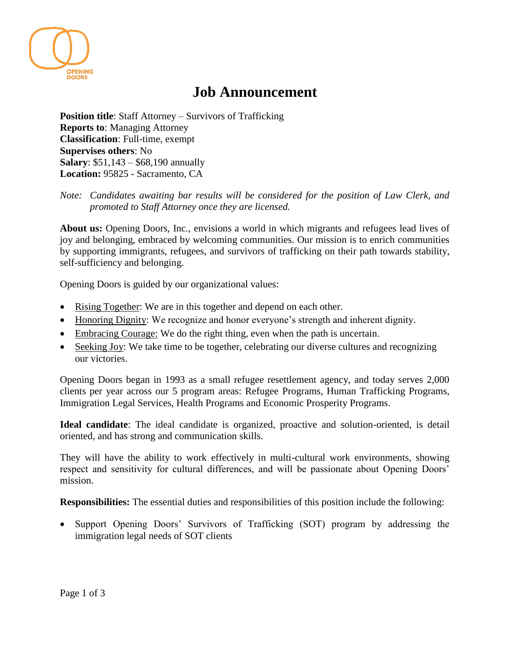

## **Job Announcement**

**Position title**: Staff Attorney – Survivors of Trafficking **Reports to**: Managing Attorney **Classification**: Full-time, exempt **Supervises others**: No **Salary**: \$51,143 – \$68,190 annually **Location:** 95825 - Sacramento, CA

*Note: Candidates awaiting bar results will be considered for the position of Law Clerk, and promoted to Staff Attorney once they are licensed.*

**About us:** Opening Doors, Inc., envisions a world in which migrants and refugees lead lives of joy and belonging, embraced by welcoming communities. Our mission is to enrich communities by supporting immigrants, refugees, and survivors of trafficking on their path towards stability, self-sufficiency and belonging.

Opening Doors is guided by our organizational values:

- Rising Together: We are in this together and depend on each other.
- Honoring Dignity: We recognize and honor everyone's strength and inherent dignity.
- Embracing Courage: We do the right thing, even when the path is uncertain.
- Seeking Joy: We take time to be together, celebrating our diverse cultures and recognizing our victories.

Opening Doors began in 1993 as a small refugee resettlement agency, and today serves 2,000 clients per year across our 5 program areas: Refugee Programs, Human Trafficking Programs, Immigration Legal Services, Health Programs and Economic Prosperity Programs.

**Ideal candidate**: The ideal candidate is organized, proactive and solution-oriented, is detail oriented, and has strong and communication skills.

They will have the ability to work effectively in multi-cultural work environments, showing respect and sensitivity for cultural differences, and will be passionate about Opening Doors' mission.

**Responsibilities:** The essential duties and responsibilities of this position include the following:

• Support Opening Doors' Survivors of Trafficking (SOT) program by addressing the immigration legal needs of SOT clients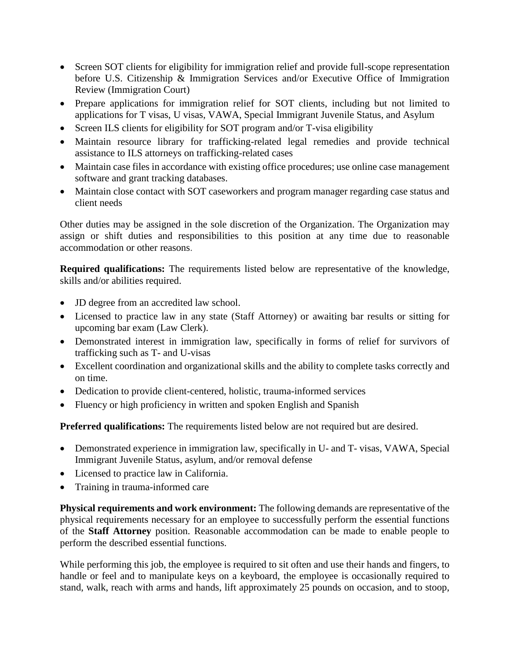- Screen SOT clients for eligibility for immigration relief and provide full-scope representation before U.S. Citizenship & Immigration Services and/or Executive Office of Immigration Review (Immigration Court)
- Prepare applications for immigration relief for SOT clients, including but not limited to applications for T visas, U visas, VAWA, Special Immigrant Juvenile Status, and Asylum
- Screen ILS clients for eligibility for SOT program and/or T-visa eligibility
- Maintain resource library for trafficking-related legal remedies and provide technical assistance to ILS attorneys on trafficking-related cases
- Maintain case files in accordance with existing office procedures; use online case management software and grant tracking databases.
- Maintain close contact with SOT caseworkers and program manager regarding case status and client needs

Other duties may be assigned in the sole discretion of the Organization. The Organization may assign or shift duties and responsibilities to this position at any time due to reasonable accommodation or other reasons.

**Required qualifications:** The requirements listed below are representative of the knowledge, skills and/or abilities required.

- JD degree from an accredited law school.
- Licensed to practice law in any state (Staff Attorney) or awaiting bar results or sitting for upcoming bar exam (Law Clerk).
- Demonstrated interest in immigration law, specifically in forms of relief for survivors of trafficking such as T- and U-visas
- Excellent coordination and organizational skills and the ability to complete tasks correctly and on time.
- Dedication to provide client-centered, holistic, trauma-informed services
- Fluency or high proficiency in written and spoken English and Spanish

**Preferred qualifications:** The requirements listed below are not required but are desired.

- Demonstrated experience in immigration law, specifically in U- and T- visas, VAWA, Special Immigrant Juvenile Status, asylum, and/or removal defense
- Licensed to practice law in California.
- Training in trauma-informed care

**Physical requirements and work environment:** The following demands are representative of the physical requirements necessary for an employee to successfully perform the essential functions of the **Staff Attorney** position. Reasonable accommodation can be made to enable people to perform the described essential functions.

While performing this job, the employee is required to sit often and use their hands and fingers, to handle or feel and to manipulate keys on a keyboard, the employee is occasionally required to stand, walk, reach with arms and hands, lift approximately 25 pounds on occasion, and to stoop,